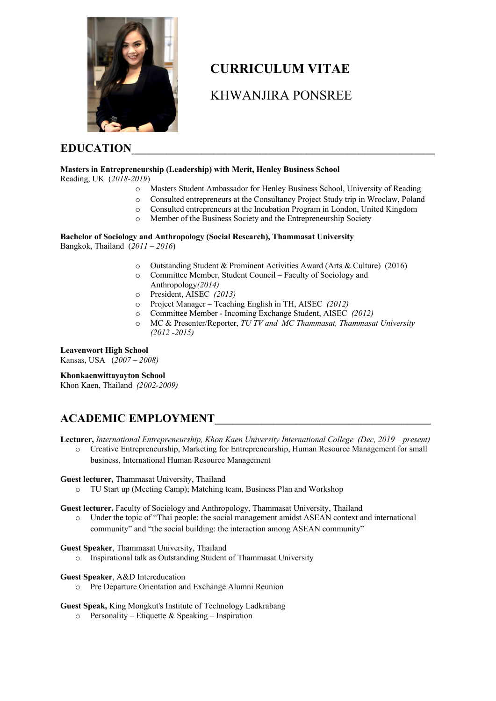

# **CURRICULUM VITAE**

# KHWANJIRA PONSREE

### EDUCATION

# **Masters in Entrepreneurship (Leadership) with Merit, Henley Business School**

Reading, UK (*2018-2019*)

- o Masters Student Ambassador for Henley Business School, University of Reading
- o Consulted entrepreneurs at the Consultancy Project Study trip in Wroclaw, Poland
- o Consulted entrepreneurs at the Incubation Program in London, United Kingdom
- o Member of the Business Society and the Entrepreneurship Society

#### **Bachelor of Sociology and Anthropology (Social Research), Thammasat University** Bangkok, Thailand (*2011 – 2016*)

- o Outstanding Student & Prominent Activities Award (Arts & Culture) (2016)
- o Committee Member, Student Council Faculty of Sociology and Anthropology*(2014)*
- o President, AISEC *(2013)*
- o Project Manager Teaching English in TH, AISEC *(2012)*
- o Committee Member Incoming Exchange Student, AISEC *(2012)*
- o MC & Presenter/Reporter, *TU TV and MC Thammasat, Thammasat University (2012 -2015)*

### **Leavenwort High School**

Kansas, USA (*2007 – 2008)*

#### **Khonkaenwittayayton School**

Khon Kaen, Thailand *(2002-2009)*

# **ACADEMIC EMPLOYMENT\_\_\_\_\_\_\_\_\_\_\_\_\_\_\_\_\_\_\_\_\_\_\_\_\_\_\_\_\_\_\_\_\_\_\_\_\_**

**Lecturer,** *International Entrepreneurship, Khon Kaen University International College (Dec, 2019 – present)*

o Creative Entrepreneurship, Marketing for Entrepreneurship, Human Resource Management for small business, International Human Resource Management

#### **Guest lecturer,** Thammasat University, Thailand

o TU Start up (Meeting Camp); Matching team, Business Plan and Workshop

**Guest lecturer,** Faculty of Sociology and Anthropology, Thammasat University, Thailand

o Under the topic of "Thai people: the social management amidst ASEAN context and international community" and "the social building: the interaction among ASEAN community"

#### **Guest Speaker**, Thammasat University, Thailand

o Inspirational talk as Outstanding Student of Thammasat University

#### **Guest Speaker**, A&D Intereducation

o Pre Departure Orientation and Exchange Alumni Reunion

#### **Guest Speak,** King Mongkut's Institute of Technology Ladkrabang

 $\circ$  Personality – Etiquette & Speaking – Inspiration